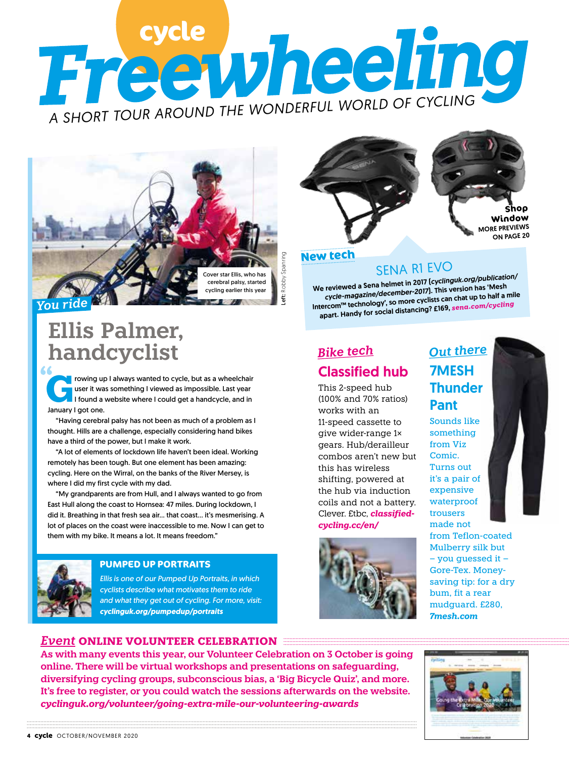# Free vheeling *A SHORT TOUR AROUND THE WONDERFUL WORLD OF CYCLING*



*You ride*

## **Ellis Palmer, handcyclist**

**G**rowing up I always wanted to cycle, but as a wheelchair user it was something I viewed as impossible. Last year I found a website where I could get a handcycle, and in January I got one.

"Having cerebral palsy has not been as much of a problem as I thought. Hills are a challenge, especially considering hand bikes have a third of the power, but I make it work.

"A lot of elements of lockdown life haven't been ideal. Working remotely has been tough. But one element has been amazing: cycling. Here on the Wirral, on the banks of the River Mersey, is where I did my first cycle with my dad.

"My grandparents are from Hull, and I always wanted to go from East Hull along the coast to Hornsea: 47 miles. During lockdown, I did it. Breathing in that fresh sea air… that coast… it's mesmerising. A lot of places on the coast were inaccessible to me. Now I can get to them with my bike. It means a lot. It means freedom."



#### **PUMPED UP PORTRAITS**

*Ellis is one of our Pumped Up Portraits, in which cyclists describe what motivates them to ride and what they get out of cycling. For more, visit: cyclinguk.org/pumpedup/portraits*

#### *Event* **ONLINE VOLUNTEER CELEBRATION**





## SENA R1 EVO

We reviewed a Sena helmet in 2017 (*cyclinguk.org/publication/ cycle-magazine/december-2017*). This version has 'Mes<sup>h</sup> Intercom™ technology', so more cyclists can chat up to half a mile apart. Handy for social distancing? £169, *sena.com/cycling*

## Classified hub *Bike tech Out there*

This 2-speed hub (100% and 70% ratios) works with an 11-speed cassette to give wider-range 1× gears. Hub/derailleur combos aren't new but this has wireless shifting, powered at the hub via induction coils and not a battery. Clever. £tbc, *classifiedcycling.cc/en/*



# 7MESH **Thunder** Pant

Sounds like something from Viz Comic. Turns out it's a pair of expensive waterproof trousers made not from Teflon-coated Mulberry silk but – you guessed it – Gore-Tex. Moneysaving tip: for a dry bum, fit a rear mudguard. £280,

*7mesh.com*

**As with many events this year, our Volunteer Celebration on 3 October is going online. There will be virtual workshops and presentations on safeguarding, diversifying cycling groups, subconscious bias, a 'Big Bicycle Quiz', and more. It's free to register, or you could watch the sessions afterwards on the website.**  *cyclinguk.org/volunteer/going-extra-mile-our-volunteering-awards*